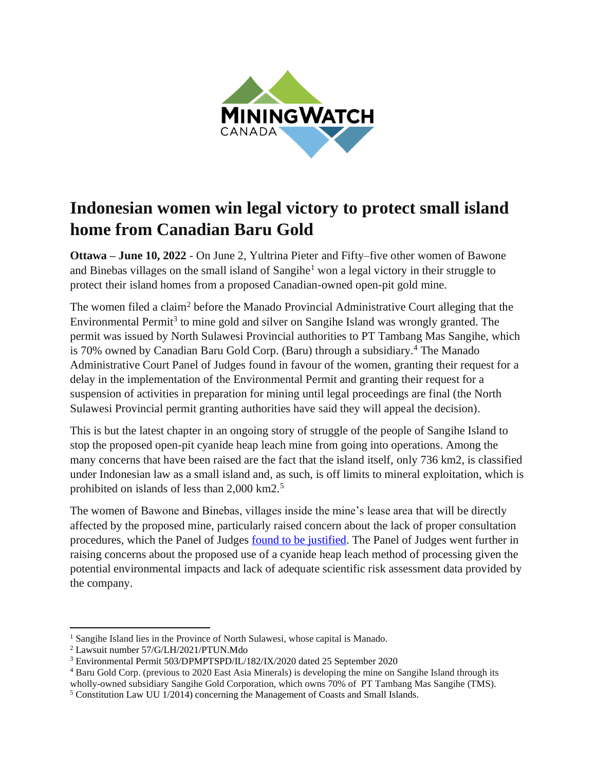

## **Indonesian women win legal victory to protect small island home from Canadian Baru Gold**

**Ottawa – June 10, 2022** - On June 2, Yultrina Pieter and Fifty–five other women of Bawone and Binebas villages on the small island of Sangihe<sup>1</sup> won a legal victory in their struggle to protect their island homes from a proposed Canadian-owned open-pit gold mine.

The women filed a claim<sup>2</sup> before the Manado Provincial Administrative Court alleging that the Environmental Permit<sup>3</sup> to mine gold and silver on Sangihe Island was wrongly granted. The permit was issued by North Sulawesi Provincial authorities to PT Tambang Mas Sangihe, which is 70% owned by Canadian Baru Gold Corp. (Baru) through a subsidiary. <sup>4</sup> The Manado Administrative Court Panel of Judges found in favour of the women, granting their request for a delay in the implementation of the Environmental Permit and granting their request for a suspension of activities in preparation for mining until legal proceedings are final (the North Sulawesi Provincial permit granting authorities have said they will appeal the decision).

This is but the latest chapter in an ongoing story of struggle of the people of Sangihe Island to stop the proposed open-pit cyanide heap leach mine from going into operations. Among the many concerns that have been raised are the fact that the island itself, only 736 km2, is classified under Indonesian law as a small island and, as such, is off limits to mineral exploitation, which is prohibited on islands of less than 2,000 km2.<sup>5</sup>

The women of Bawone and Binebas, villages inside the mine's lease area that will be directly affected by the proposed mine, particularly raised concern about the lack of proper consultation procedures, which the Panel of Judges [found to be justified.](https://miningwatch.ca/sites/default/files/salinan_putusan_57_g_lh_2021_ptun_mdo.pdf) The Panel of Judges went further in raising concerns about the proposed use of a cyanide heap leach method of processing given the potential environmental impacts and lack of adequate scientific risk assessment data provided by the company.

<sup>&</sup>lt;sup>1</sup> Sangihe Island lies in the Province of North Sulawesi, whose capital is Manado.

<sup>2</sup> Lawsuit number 57/G/LH/2021/PTUN.Mdo

<sup>3</sup> Environmental Permit 503/DPMPTSPD/IL/182/IX/2020 dated 25 September 2020

<sup>4</sup> Baru Gold Corp. (previous to 2020 East Asia Minerals) is developing the mine on Sangihe Island through its wholly-owned subsidiary Sangihe Gold Corporation, which owns 70% of PT Tambang Mas Sangihe (TMS).

<sup>5</sup> Constitution Law UU 1/2014) concerning the Management of Coasts and Small Islands.